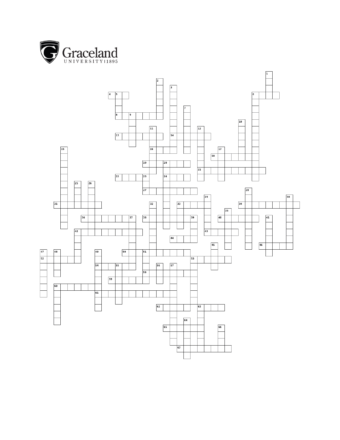